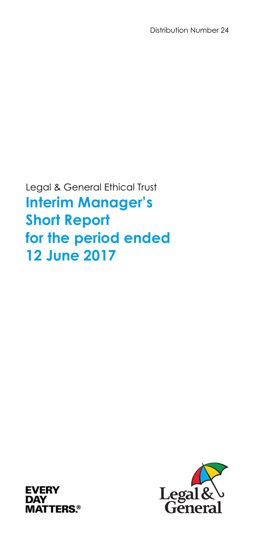Legal & General Ethical Trust **Interim Manager's Short Report for the period ended 12 June 2017** 



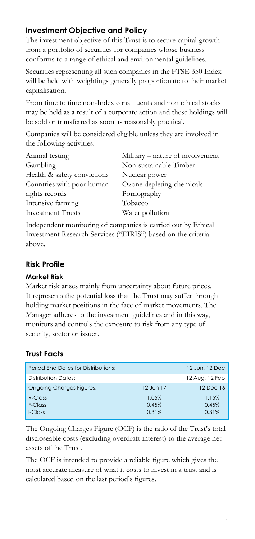# **Investment Objective and Policy**

The investment objective of this Trust is to secure capital growth from a portfolio of securities for companies whose business conforms to a range of ethical and environmental guidelines.

Securities representing all such companies in the FTSE 350 Index will be held with weightings generally proportionate to their market capitalisation.

From time to time non-Index constituents and non ethical stocks may be held as a result of a corporate action and these holdings will be sold or transferred as soon as reasonably practical.

Companies will be considered eligible unless they are involved in the following activities:

| Animal testing              | Military – nature of involvement |
|-----------------------------|----------------------------------|
| Gambling                    | Non-sustainable Timber           |
| Health & safety convictions | Nuclear power                    |
| Countries with poor human   | Ozone depleting chemicals        |
| rights records              | Pornography                      |
| Intensive farming           | Tobacco                          |
| <b>Investment Trusts</b>    | Water pollution                  |
|                             |                                  |

Independent monitoring of companies is carried out by Ethical Investment Research Services ("EIRIS") based on the criteria above.

#### **Risk Profile**

#### **Market Risk**

Market risk arises mainly from uncertainty about future prices. It represents the potential loss that the Trust may suffer through holding market positions in the face of market movements. The Manager adheres to the investment guidelines and in this way, monitors and controls the exposure to risk from any type of security, sector or issuer.

# **Trust Facts**

| <b>Period Fnd Dates for Distributions:</b> |           | 12 Jun. 12 Dec |
|--------------------------------------------|-----------|----------------|
| Distribution Dates:                        |           | 12 Aug, 12 Feb |
| <b>Ongoing Charges Figures:</b>            | 12 Jun 17 | 12 Dec 16      |
| $R$ -Class                                 | 1.05%     | 1.15%          |
| F-Class                                    | 0.45%     | 0.45%          |
| I-Class                                    | 0.31%     | 0.31%          |

The Ongoing Charges Figure (OCF) is the ratio of the Trust's total discloseable costs (excluding overdraft interest) to the average net assets of the Trust.

The OCF is intended to provide a reliable figure which gives the most accurate measure of what it costs to invest in a trust and is calculated based on the last period's figures.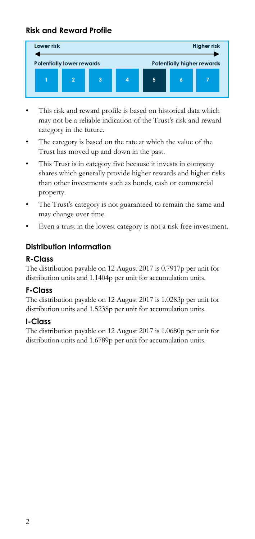# **Risk and Reward Profile**



- This risk and reward profile is based on historical data which may not be a reliable indication of the Trust's risk and reward category in the future.
- The category is based on the rate at which the value of the Trust has moved up and down in the past.
- This Trust is in category five because it invests in company shares which generally provide higher rewards and higher risks than other investments such as bonds, cash or commercial property.
- The Trust's category is not guaranteed to remain the same and may change over time.
- Even a trust in the lowest category is not a risk free investment.

# **Distribution Information**

#### **R-Class**

The distribution payable on 12 August 2017 is 0.7917p per unit for distribution units and 1.1404p per unit for accumulation units.

# **F-Class**

The distribution payable on 12 August 2017 is 1.0283p per unit for distribution units and 1.5238p per unit for accumulation units.

# **I-Class**

The distribution payable on 12 August 2017 is 1.0680p per unit for distribution units and 1.6789p per unit for accumulation units.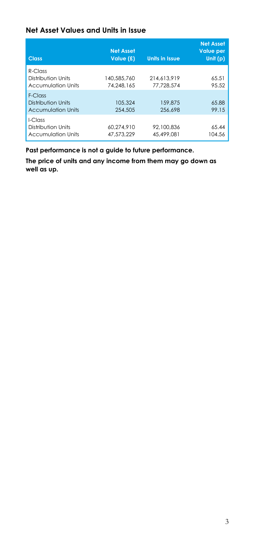#### **Net Asset Values and Units in Issue**

| <b>Class</b>                                                  | <b>Net Asset</b><br>Value (£) | <b>Units in Issue</b>     | <b>Net Asset</b><br><b>Value per</b><br>Unit (p) |
|---------------------------------------------------------------|-------------------------------|---------------------------|--------------------------------------------------|
| $R$ -Class<br>Distribution Units<br><b>Accumulation Units</b> | 140.585.760<br>74.248.165     | 214.613.919<br>77.728.574 | 65.51<br>95.52                                   |
| F-Class<br>Distribution Units<br><b>Accumulation Units</b>    | 105.324<br>254,505            | 159,875<br>256,698        | 65.88<br>99.15                                   |
| I-Class<br>Distribution Units<br><b>Accumulation Units</b>    | 60.274.910<br>47,573,229      | 92.100.836<br>45,499,081  | 65.44<br>104.56                                  |

**Past performance is not a guide to future performance.** 

**The price of units and any income from them may go down as well as up.**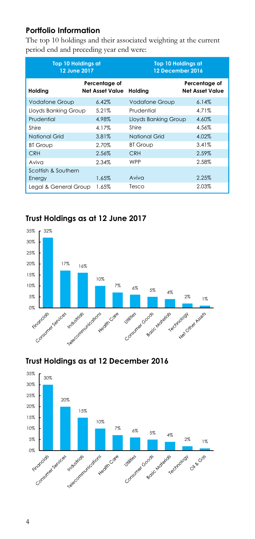#### **Portfolio Information**

The top 10 holdings and their associated weighting at the current period end and preceding year end were:

| <b>Top 10 Holdings at</b><br>12 June 2017 |                                         | <b>Top 10 Holdings at</b><br>12 December 2016 |                                         |
|-------------------------------------------|-----------------------------------------|-----------------------------------------------|-----------------------------------------|
| Holding                                   | Percentage of<br><b>Net Asset Value</b> | Holding                                       | Percentage of<br><b>Net Asset Value</b> |
| <b>Vodafone Group</b>                     | 6.42%                                   | <b>Vodafone Group</b>                         | 6.14%                                   |
| Lloyds Banking Group                      | 5.21%                                   | Prudential                                    | 4.71%                                   |
| Prudential                                | 4.98%                                   | Lloyds Banking Group                          | 4.60%                                   |
| Shire                                     | 4.17%                                   | Shire                                         | 4.56%                                   |
| National Grid                             | 3.81%                                   | National Grid                                 | 4.02%                                   |
| <b>BT Group</b>                           | 2.70%                                   | <b>BT Group</b>                               | 3.41%                                   |
| <b>CRH</b>                                | 2.56%                                   | <b>CRH</b>                                    | 2.59%                                   |
| Aviva                                     | 2.34%                                   | WPP                                           | 2.58%                                   |
| Scottish & Southern<br>Energy             | 1.65%                                   | Aviva                                         | 2.25%                                   |
| Legal & General Group                     | 1.65%                                   | Tesco                                         | 2.03%                                   |

#### **Trust Holdings as at 12 June 2017**



# **Trust Holdings as at 12 December 2016**

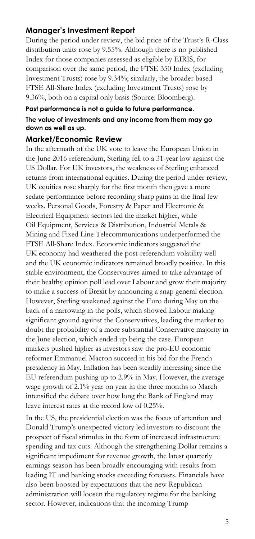#### **Manager's Investment Report**

During the period under review, the bid price of the Trust's R-Class distribution units rose by 9.55%. Although there is no published Index for those companies assessed as eligible by EIRIS, for comparison over the same period, the FTSE 350 Index (excluding Investment Trusts) rose by 9.34%; similarly, the broader based FTSE All-Share Index (excluding Investment Trusts) rose by 9.36%, both on a capital only basis (Source: Bloomberg).

#### **Past performance is not a guide to future performance. The value of investments and any income from them may go down as well as up.**

#### **Market/Economic Review**

In the aftermath of the UK vote to leave the European Union in the June 2016 referendum, Sterling fell to a 31-year low against the US Dollar. For UK investors, the weakness of Sterling enhanced returns from international equities. During the period under review, UK equities rose sharply for the first month then gave a more sedate performance before recording sharp gains in the final few weeks. Personal Goods, Forestry & Paper and Electronic & Electrical Equipment sectors led the market higher, while Oil Equipment, Services & Distribution, Industrial Metals & Mining and Fixed Line Telecommunications underperformed the FTSE All-Share Index. Economic indicators suggested the UK economy had weathered the post-referendum volatility well and the UK economic indicators remained broadly positive. In this stable environment, the Conservatives aimed to take advantage of their healthy opinion poll lead over Labour and grow their majority to make a success of Brexit by announcing a snap general election. However, Sterling weakened against the Euro during May on the back of a narrowing in the polls, which showed Labour making significant ground against the Conservatives, leading the market to doubt the probability of a more substantial Conservative majority in the June election, which ended up being the case. European markets pushed higher as investors saw the pro-EU economic reformer Emmanuel Macron succeed in his bid for the French presidency in May. Inflation has been steadily increasing since the EU referendum pushing up to 2.9% in May. However, the average wage growth of 2.1% year on year in the three months to March intensified the debate over how long the Bank of England may leave interest rates at the record low of 0.25%.

In the US, the presidential election was the focus of attention and Donald Trump's unexpected victory led investors to discount the prospect of fiscal stimulus in the form of increased infrastructure spending and tax cuts. Although the strengthening Dollar remains a significant impediment for revenue growth, the latest quarterly earnings season has been broadly encouraging with results from leading IT and banking stocks exceeding forecasts. Financials have also been boosted by expectations that the new Republican administration will loosen the regulatory regime for the banking sector. However, indications that the incoming Trump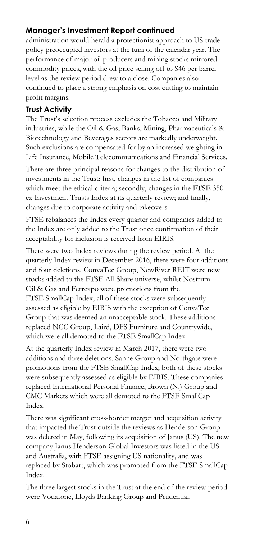# **Manager's Investment Report continued**

administration would herald a protectionist approach to US trade policy preoccupied investors at the turn of the calendar year. The performance of major oil producers and mining stocks mirrored commodity prices, with the oil price selling off to \$46 per barrel level as the review period drew to a close. Companies also continued to place a strong emphasis on cost cutting to maintain profit margins.

# **Trust Activity**

The Trust's selection process excludes the Tobacco and Military industries, while the Oil & Gas, Banks, Mining, Pharmaceuticals & Biotechnology and Beverages sectors are markedly underweight. Such exclusions are compensated for by an increased weighting in Life Insurance, Mobile Telecommunications and Financial Services.

There are three principal reasons for changes to the distribution of investments in the Trust: first, changes in the list of companies which meet the ethical criteria; secondly, changes in the FTSE 350 ex Investment Trusts Index at its quarterly review; and finally, changes due to corporate activity and takeovers.

FTSE rebalances the Index every quarter and companies added to the Index are only added to the Trust once confirmation of their acceptability for inclusion is received from EIRIS.

There were two Index reviews during the review period. At the quarterly Index review in December 2016, there were four additions and four deletions. ConvaTec Group, NewRiver REIT were new stocks added to the FTSE All-Share universe, whilst Nostrum Oil & Gas and Ferrexpo were promotions from the FTSE SmallCap Index; all of these stocks were subsequently assessed as eligible by EIRIS with the exception of ConvaTec Group that was deemed an unacceptable stock. These additions replaced NCC Group, Laird, DFS Furniture and Countrywide, which were all demoted to the FTSE SmallCap Index.

At the quarterly Index review in March 2017, there were two additions and three deletions. Sanne Group and Northgate were promotions from the FTSE SmallCap Index; both of these stocks were subsequently assessed as eligible by EIRIS. These companies replaced International Personal Finance, Brown (N.) Group and CMC Markets which were all demoted to the FTSE SmallCap Index.

There was significant cross-border merger and acquisition activity that impacted the Trust outside the reviews as Henderson Group was deleted in May, following its acquisition of Janus (US). The new company Janus Henderson Global Investors was listed in the US and Australia, with FTSE assigning US nationality, and was replaced by Stobart, which was promoted from the FTSE SmallCap Index.

The three largest stocks in the Trust at the end of the review period were Vodafone, Lloyds Banking Group and Prudential.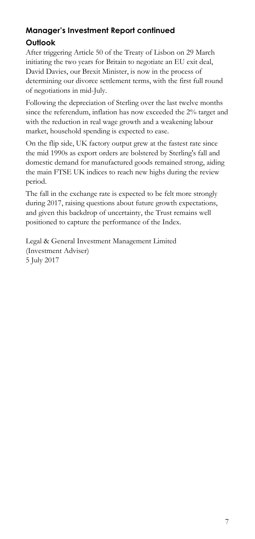# **Manager's Investment Report continued Outlook**

After triggering Article 50 of the Treaty of Lisbon on 29 March initiating the two years for Britain to negotiate an EU exit deal, David Davies, our Brexit Minister, is now in the process of determining our divorce settlement terms, with the first full round of negotiations in mid-July.

Following the depreciation of Sterling over the last twelve months since the referendum, inflation has now exceeded the 2% target and with the reduction in real wage growth and a weakening labour market, household spending is expected to ease.

On the flip side, UK factory output grew at the fastest rate since the mid 1990s as export orders are bolstered by Sterling's fall and domestic demand for manufactured goods remained strong, aiding the main FTSE UK indices to reach new highs during the review period.

The fall in the exchange rate is expected to be felt more strongly during 2017, raising questions about future growth expectations, and given this backdrop of uncertainty, the Trust remains well positioned to capture the performance of the Index.

Legal & General Investment Management Limited (Investment Adviser) 5 July 2017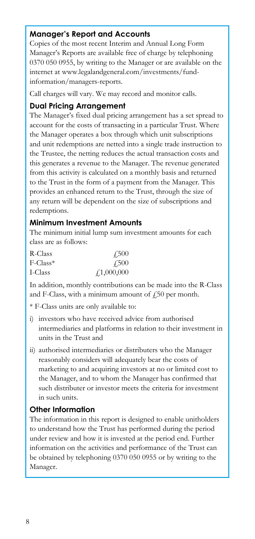#### **Manager's Report and Accounts**

Copies of the most recent Interim and Annual Long Form Manager's Reports are available free of charge by telephoning 0370 050 0955, by writing to the Manager or are available on the internet at www.legalandgeneral.com/investments/fundinformation/managers-reports.

Call charges will vary. We may record and monitor calls.

#### **Dual Pricing Arrangement**

The Manager's fixed dual pricing arrangement has a set spread to account for the costs of transacting in a particular Trust. Where the Manager operates a box through which unit subscriptions and unit redemptions are netted into a single trade instruction to the Trustee, the netting reduces the actual transaction costs and this generates a revenue to the Manager. The revenue generated from this activity is calculated on a monthly basis and returned to the Trust in the form of a payment from the Manager. This provides an enhanced return to the Trust, through the size of any return will be dependent on the size of subscriptions and redemptions.

#### **Minimum Investment Amounts**

The minimum initial lump sum investment amounts for each class are as follows:

| R-Class                 | 4.500              |
|-------------------------|--------------------|
| $F$ -Class <sup>*</sup> | 4.500              |
| I-Class                 | $\sqrt{1,000,000}$ |

In addition, monthly contributions can be made into the R-Class and F-Class, with a minimum amount of  $f<sub>1</sub>50$  per month.

\* F-Class units are only available to:

- i) investors who have received advice from authorised intermediaries and platforms in relation to their investment in units in the Trust and
- ii) authorised intermediaries or distributers who the Manager reasonably considers will adequately bear the costs of marketing to and acquiring investors at no or limited cost to the Manager, and to whom the Manager has confirmed that such distributer or investor meets the criteria for investment in such units.

#### **Other Information**

The information in this report is designed to enable unitholders to understand how the Trust has performed during the period under review and how it is invested at the period end. Further information on the activities and performance of the Trust can be obtained by telephoning 0370 050 0955 or by writing to the Manager.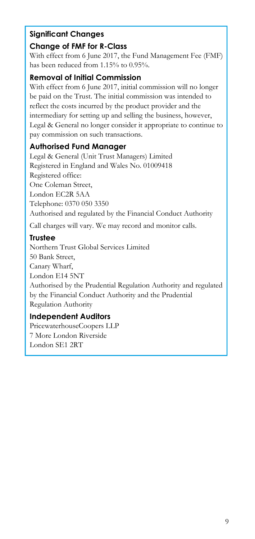# **Significant Changes**

# **Change of FMF for R-Class**

With effect from 6 June 2017, the Fund Management Fee (FMF) has been reduced from 1.15% to 0.95%.

# **Removal of Initial Commission**

With effect from 6 June 2017, initial commission will no longer be paid on the Trust. The initial commission was intended to reflect the costs incurred by the product provider and the intermediary for setting up and selling the business, however, Legal & General no longer consider it appropriate to continue to pay commission on such transactions.

# **Authorised Fund Manager**

Legal & General (Unit Trust Managers) Limited Registered in England and Wales No. 01009418 Registered office: One Coleman Street, London EC2R 5AA Telephone: 0370 050 3350 Authorised and regulated by the Financial Conduct Authority

Call charges will vary. We may record and monitor calls.

# **Trustee**

Northern Trust Global Services Limited 50 Bank Street, Canary Wharf, London E14 5NT Authorised by the Prudential Regulation Authority and regulated by the Financial Conduct Authority and the Prudential Regulation Authority

# **Independent Auditors**

PricewaterhouseCoopers LLP 7 More London Riverside London SE1 2RT